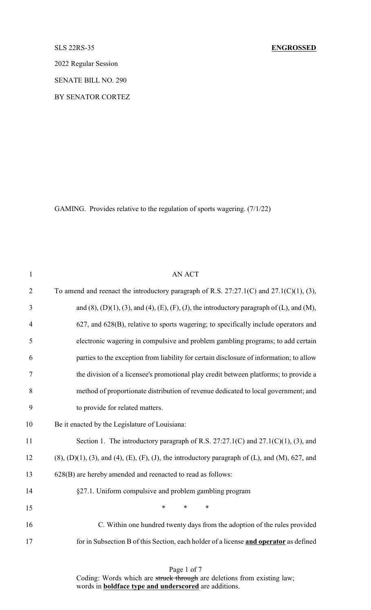2022 Regular Session

SENATE BILL NO. 290

BY SENATOR CORTEZ

GAMING. Provides relative to the regulation of sports wagering. (7/1/22)

| $\mathbf{1}$   | <b>AN ACT</b>                                                                                                             |
|----------------|---------------------------------------------------------------------------------------------------------------------------|
| $\overline{2}$ | To amend and reenact the introductory paragraph of R.S. $27:27.1(C)$ and $27.1(C)(1)$ , (3),                              |
| 3              | and $(8)$ , $(D)(1)$ , $(3)$ , and $(4)$ , $(E)$ , $(F)$ , $(J)$ , the introductory paragraph of $(L)$ , and $(M)$ ,      |
| $\overline{4}$ | 627, and 628(B), relative to sports wagering; to specifically include operators and                                       |
| 5              | electronic wagering in compulsive and problem gambling programs; to add certain                                           |
| 6              | parties to the exception from liability for certain disclosure of information; to allow                                   |
| $\tau$         | the division of a licensee's promotional play credit between platforms; to provide a                                      |
| 8              | method of proportionate distribution of revenue dedicated to local government; and                                        |
| 9              | to provide for related matters.                                                                                           |
| 10             | Be it enacted by the Legislature of Louisiana:                                                                            |
| 11             | Section 1. The introductory paragraph of R.S. $27:27.1(C)$ and $27.1(C)(1)$ , (3), and                                    |
| 12             | $(8)$ , $(D)(1)$ , $(3)$ , and $(4)$ , $(E)$ , $(F)$ , $(J)$ , the introductory paragraph of $(L)$ , and $(M)$ , 627, and |
| 13             | 628(B) are hereby amended and reenacted to read as follows:                                                               |
| 14             | §27.1. Uniform compulsive and problem gambling program                                                                    |
| 15             | $\ast$<br>$\ast$<br>$\ast$                                                                                                |
| 16             | C. Within one hundred twenty days from the adoption of the rules provided                                                 |
| 17             | for in Subsection B of this Section, each holder of a license and operator as defined                                     |
|                |                                                                                                                           |

Page 1 of 7 Coding: Words which are struck through are deletions from existing law; words in **boldface type and underscored** are additions.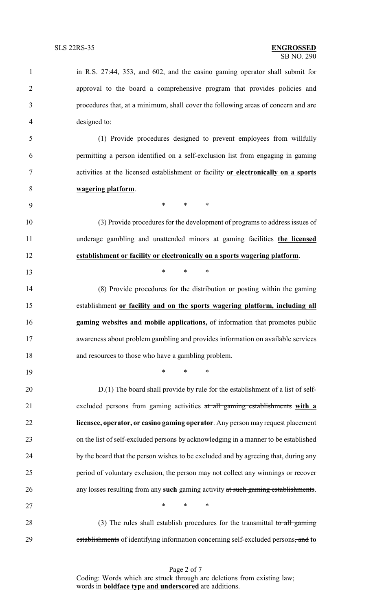| 1              | in R.S. 27:44, 353, and 602, and the casino gaming operator shall submit for        |
|----------------|-------------------------------------------------------------------------------------|
| $\overline{2}$ | approval to the board a comprehensive program that provides policies and            |
| 3              | procedures that, at a minimum, shall cover the following areas of concern and are   |
| $\overline{4}$ | designed to:                                                                        |
| 5              | (1) Provide procedures designed to prevent employees from willfully                 |
| 6              | permitting a person identified on a self-exclusion list from engaging in gaming     |
| $\tau$         | activities at the licensed establishment or facility or electronically on a sports  |
| 8              | wagering platform.                                                                  |
| 9              | $\ast$<br>$*$ and $*$<br>$\ast$                                                     |
| 10             | (3) Provide procedures for the development of programs to address issues of         |
| 11             | underage gambling and unattended minors at gaming facilities the licensed           |
| 12             | establishment or facility or electronically on a sports wagering platform.          |
| 13             | $\ast$<br>$\ast$<br>$\ast$                                                          |
| 14             | (8) Provide procedures for the distribution or posting within the gaming            |
| 15             | establishment or facility and on the sports wagering platform, including all        |
| 16             | gaming websites and mobile applications, of information that promotes public        |
| 17             | awareness about problem gambling and provides information on available services     |
| 18             | and resources to those who have a gambling problem.                                 |
| 19             | $\ast$<br>$\ast$<br>$\ast$                                                          |
| 20             | D.(1) The board shall provide by rule for the establishment of a list of self-      |
| 21             | excluded persons from gaming activities at all gaming establishments with a         |
| 22             | licensee, operator, or casino gaming operator. Any person may request placement     |
| 23             | on the list of self-excluded persons by acknowledging in a manner to be established |
| 24             | by the board that the person wishes to be excluded and by agreeing that, during any |
| 25             | period of voluntary exclusion, the person may not collect any winnings or recover   |
| 26             | any losses resulting from any such gaming activity at such gaming establishments.   |
| 27             | $*$<br>$\ast$<br>$\ast$                                                             |
| 28             | (3) The rules shall establish procedures for the transmittal to all gaming          |
| 29             | establishments of identifying information concerning self-excluded persons, and to  |

Page 2 of 7 Coding: Words which are struck through are deletions from existing law; words in **boldface type and underscored** are additions.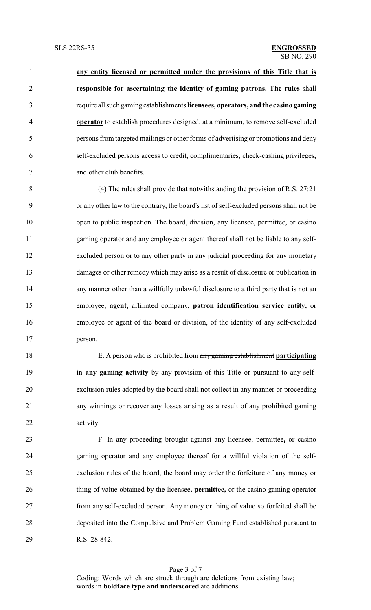**any entity licensed or permitted under the provisions of this Title that is responsible for ascertaining the identity of gaming patrons. The rules** shall require all such gaming establishments **licensees, operators, and the casino gaming operator** to establish procedures designed, at a minimum, to remove self-excluded persons from targeted mailings or other forms of advertising or promotions and deny self-excluded persons access to credit, complimentaries, check-cashing privileges**,** and other club benefits.

 (4) The rules shall provide that notwithstanding the provision of R.S. 27:21 or any other law to the contrary, the board's list of self-excluded persons shall not be 10 open to public inspection. The board, division, any licensee, permittee, or casino gaming operator and any employee or agent thereof shall not be liable to any self- excluded person or to any other party in any judicial proceeding for any monetary damages or other remedy which may arise as a result of disclosure or publication in any manner other than a willfully unlawful disclosure to a third party that is not an employee, **agent,** affiliated company, **patron identification service entity,** or employee or agent of the board or division, of the identity of any self-excluded person.

 E. A person who is prohibited from any gaming establishment **participating in any gaming activity** by any provision of this Title or pursuant to any self- exclusion rules adopted by the board shall not collect in any manner or proceeding any winnings or recover any losses arising as a result of any prohibited gaming activity.

 F. In any proceeding brought against any licensee, permittee**,** or casino gaming operator and any employee thereof for a willful violation of the self- exclusion rules of the board, the board may order the forfeiture of any money or thing of value obtained by the licensee**, permittee,** or the casino gaming operator from any self-excluded person. Any money or thing of value so forfeited shall be deposited into the Compulsive and Problem Gaming Fund established pursuant to R.S. 28:842.

Page 3 of 7 Coding: Words which are struck through are deletions from existing law; words in **boldface type and underscored** are additions.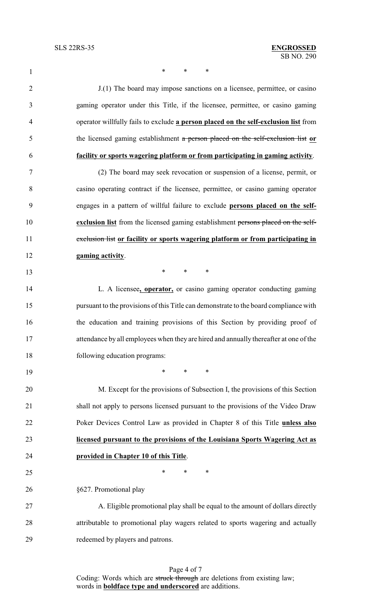$*$  \* \* \*

| $\overline{2}$ | J.(1) The board may impose sanctions on a licensee, permittee, or casino              |
|----------------|---------------------------------------------------------------------------------------|
| 3              | gaming operator under this Title, if the licensee, permittee, or casino gaming        |
| $\overline{4}$ | operator willfully fails to exclude a person placed on the self-exclusion list from   |
| 5              | the licensed gaming establishment a person placed on the self-exclusion list or       |
| 6              | facility or sports wagering platform or from participating in gaming activity.        |
| $\overline{7}$ | (2) The board may seek revocation or suspension of a license, permit, or              |
| 8              | casino operating contract if the licensee, permittee, or casino gaming operator       |
| 9              | engages in a pattern of willful failure to exclude persons placed on the self-        |
| 10             | exclusion list from the licensed gaming establishment persons placed on the self-     |
| 11             | exclusion list or facility or sports wagering platform or from participating in       |
| 12             | gaming activity.                                                                      |
| 13             | $\ast$<br>$*$ $*$<br>$\ast$                                                           |
| 14             | L. A licensee, operator, or casino gaming operator conducting gaming                  |
| 15             | pursuant to the provisions of this Title can demonstrate to the board compliance with |
| 16             | the education and training provisions of this Section by providing proof of           |
| 17             | attendance by all employees when they are hired and annually thereafter at one of the |
| 18             | following education programs:                                                         |
| 19             | $\ast$<br>$\ast$<br>$\ast$                                                            |
| 20             | M. Except for the provisions of Subsection I, the provisions of this Section          |
| 21             | shall not apply to persons licensed pursuant to the provisions of the Video Draw      |
| 22             | Poker Devices Control Law as provided in Chapter 8 of this Title unless also          |
| 23             | licensed pursuant to the provisions of the Louisiana Sports Wagering Act as           |
| 24             | provided in Chapter 10 of this Title.                                                 |
| 25             | $\ast$<br>$\ast$<br>∗                                                                 |
| 26             | §627. Promotional play                                                                |
| 27             | A. Eligible promotional play shall be equal to the amount of dollars directly         |
| 28             | attributable to promotional play wagers related to sports wagering and actually       |
| 29             | redeemed by players and patrons.                                                      |

Page 4 of 7 Coding: Words which are struck through are deletions from existing law; words in **boldface type and underscored** are additions.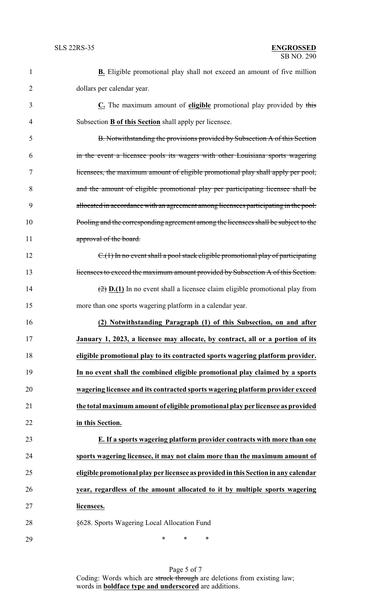| $\mathbf{1}$   | <b>B.</b> Eligible promotional play shall not exceed an amount of five million               |
|----------------|----------------------------------------------------------------------------------------------|
| $\overline{2}$ | dollars per calendar year.                                                                   |
| 3              | C. The maximum amount of eligible promotional play provided by this                          |
| $\overline{4}$ | Subsection <b>B</b> of this Section shall apply per licensee.                                |
| 5              | B. Notwithstanding the provisions provided by Subsection A of this Section                   |
| 6              | in the event a licensee pools its wagers with other Louisiana sports wagering                |
| 7              | licensees, the maximum amount of eligible promotional play shall apply per pool,             |
| 8              | and the amount of eligible promotional play per participating licensee shall be              |
| 9              | allocated in accordance with an agreement among licensees participating in the pool.         |
| 10             | Pooling and the corresponding agreement among the licensees shall be subject to the          |
| 11             | approval of the board.                                                                       |
| 12             | $C1(1)$ In no event shall a pool stack eligible promotional play of participating            |
| 13             | licensees to exceed the maximum amount provided by Subsection A of this Section.             |
| 14             | $\rightarrow$ <b>D.(1)</b> In no event shall a licensee claim eligible promotional play from |
| 15             | more than one sports wagering platform in a calendar year.                                   |
| 16             | (2) Notwithstanding Paragraph (1) of this Subsection, on and after                           |
| 17             | January 1, 2023, a licensee may allocate, by contract, all or a portion of its               |
| 18             | eligible promotional play to its contracted sports wagering platform provider.               |
| 19             | In no event shall the combined eligible promotional play claimed by a sports                 |
| 20             | wagering licensee and its contracted sports wagering platform provider exceed                |
| 21             | the total maximum amount of eligible promotional play per licensee as provided               |
| 22             | in this Section.                                                                             |
| 23             | E. If a sports wagering platform provider contracts with more than one                       |
| 24             | sports wagering licensee, it may not claim more than the maximum amount of                   |
| 25             | eligible promotional play per licensee as provided in this Section in any calendar           |
| 26             | year, regardless of the amount allocated to it by multiple sports wagering                   |
| 27             | licensees.                                                                                   |
| 28             | §628. Sports Wagering Local Allocation Fund                                                  |
|                |                                                                                              |

Page 5 of 7 Coding: Words which are struck through are deletions from existing law; words in **boldface type and underscored** are additions.

\* \* \*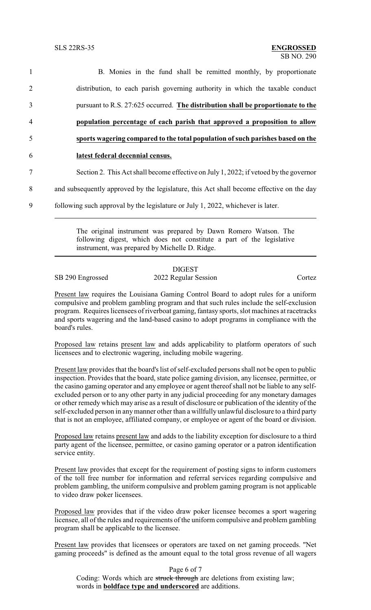B. Monies in the fund shall be remitted monthly, by proportionate distribution, to each parish governing authority in which the taxable conduct pursuant to R.S. 27:625 occurred. **The distribution shall be proportionate to the population percentage of each parish that approved a proposition to allow sports wagering compared to the total population of such parishes based on the latest federal decennial census.** Section 2. This Act shall become effective on July 1, 2022; if vetoed by the governor and subsequently approved by the legislature, this Act shall become effective on the day following such approval by the legislature or July 1, 2022, whichever is later.

> The original instrument was prepared by Dawn Romero Watson. The following digest, which does not constitute a part of the legislative instrument, was prepared by Michelle D. Ridge.

## DIGEST SB 290 Engrossed 2022 Regular Session Cortez

Present law requires the Louisiana Gaming Control Board to adopt rules for a uniform compulsive and problem gambling program and that such rules include the self-exclusion program. Requires licensees of riverboat gaming, fantasy sports, slot machines at racetracks and sports wagering and the land-based casino to adopt programs in compliance with the board's rules.

Proposed law retains present law and adds applicability to platform operators of such licensees and to electronic wagering, including mobile wagering.

Present law provides that the board's list of self-excluded persons shall not be open to public inspection. Provides that the board, state police gaming division, any licensee, permittee, or the casino gaming operator and any employee or agent thereof shall not be liable to any selfexcluded person or to any other party in any judicial proceeding for any monetary damages or other remedy which may arise as a result of disclosure or publication of the identity of the self-excluded person in anymanner other than a willfully unlawful disclosure to a third party that is not an employee, affiliated company, or employee or agent of the board or division.

Proposed law retains present law and adds to the liability exception for disclosure to a third party agent of the licensee, permittee, or casino gaming operator or a patron identification service entity.

Present law provides that except for the requirement of posting signs to inform customers of the toll free number for information and referral services regarding compulsive and problem gambling, the uniform compulsive and problem gaming program is not applicable to video draw poker licensees.

Proposed law provides that if the video draw poker licensee becomes a sport wagering licensee, all of the rules and requirements of the uniform compulsive and problem gambling program shall be applicable to the licensee.

Present law provides that licensees or operators are taxed on net gaming proceeds. "Net gaming proceeds" is defined as the amount equal to the total gross revenue of all wagers

Page 6 of 7

Coding: Words which are struck through are deletions from existing law; words in **boldface type and underscored** are additions.